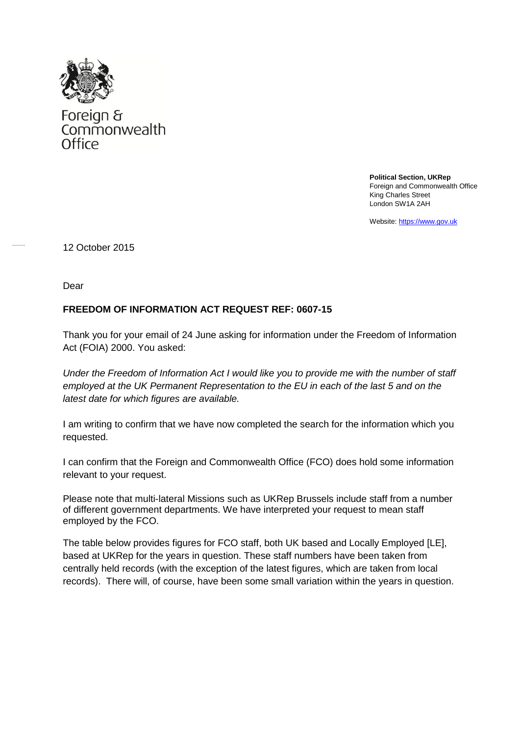

Foreign &<br>Commonwealth Office

> **Political Section, UKRep** Foreign and Commonwealth Office King Charles Street London SW1A 2AH

Website[: https://www.gov.uk](https://www.gov.uk/)

12 October 2015

Dear

## **FREEDOM OF INFORMATION ACT REQUEST REF: 0607-15**

Thank you for your email of 24 June asking for information under the Freedom of Information Act (FOIA) 2000. You asked:

*Under the Freedom of Information Act I would like you to provide me with the number of staff employed at the UK Permanent Representation to the EU in each of the last 5 and on the latest date for which figures are available.* 

I am writing to confirm that we have now completed the search for the information which you requested.

I can confirm that the Foreign and Commonwealth Office (FCO) does hold some information relevant to your request.

Please note that multi-lateral Missions such as UKRep Brussels include staff from a number of different government departments. We have interpreted your request to mean staff employed by the FCO.

The table below provides figures for FCO staff, both UK based and Locally Employed [LE], based at UKRep for the years in question. These staff numbers have been taken from centrally held records (with the exception of the latest figures, which are taken from local records). There will, of course, have been some small variation within the years in question.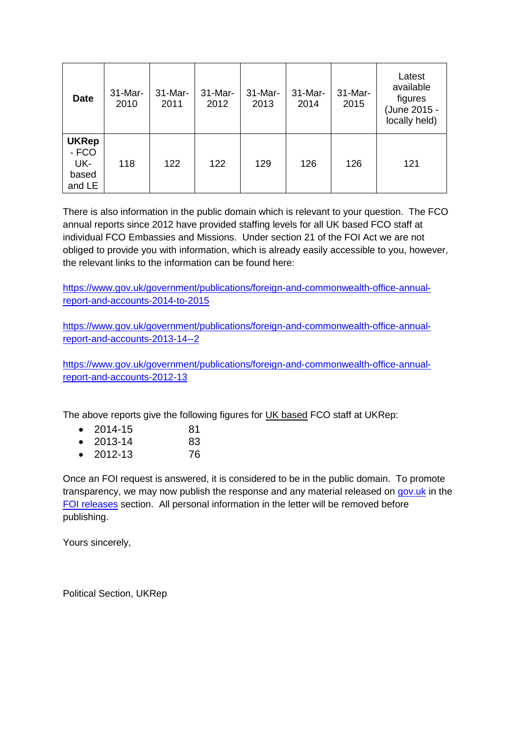| <b>Date</b>                                     | 31-Mar-<br>2010 | $31-Mar-$<br>2011 | $31$ -Mar-<br>2012 | 31-Mar-<br>2013 | 31-Mar-<br>2014 | 31-Mar-<br>2015 | Latest<br>available<br>figures<br>(June 2015 -<br>locally held) |
|-------------------------------------------------|-----------------|-------------------|--------------------|-----------------|-----------------|-----------------|-----------------------------------------------------------------|
| <b>UKRep</b><br>- FCO<br>UK-<br>based<br>and LE | 118             | 122               | 122                | 129             | 126             | 126             | 121                                                             |

There is also information in the public domain which is relevant to your question. The FCO annual reports since 2012 have provided staffing levels for all UK based FCO staff at individual FCO Embassies and Missions. Under section 21 of the FOI Act we are not obliged to provide you with information, which is already easily accessible to you, however, the relevant links to the information can be found here:

[https://www.gov.uk/government/publications/foreign-and-commonwealth-office-annual](https://www.gov.uk/government/publications/foreign-and-commonwealth-office-annual-report-and-accounts-2014-to-2015)[report-and-accounts-2014-to-2015](https://www.gov.uk/government/publications/foreign-and-commonwealth-office-annual-report-and-accounts-2014-to-2015)

[https://www.gov.uk/government/publications/foreign-and-commonwealth-office-annual](https://www.gov.uk/government/publications/foreign-and-commonwealth-office-annual-report-and-accounts-2013-14--2)[report-and-accounts-2013-14--2](https://www.gov.uk/government/publications/foreign-and-commonwealth-office-annual-report-and-accounts-2013-14--2)

[https://www.gov.uk/government/publications/foreign-and-commonwealth-office-annual](https://www.gov.uk/government/publications/foreign-and-commonwealth-office-annual-report-and-accounts-2012-13)[report-and-accounts-2012-13](https://www.gov.uk/government/publications/foreign-and-commonwealth-office-annual-report-and-accounts-2012-13)

The above reports give the following figures for UK based FCO staff at UKRep:

| $\bullet$ | 2014-15   | 81 |
|-----------|-----------|----|
| $\bullet$ | 2013-14   | 83 |
|           | • 2012-13 | 76 |

Once an FOI request is answered, it is considered to be in the public domain. To promote transparency, we may now publish the response and any material released on [gov.uk](https://www.gov.uk/government/organisations/foreign-commonwealth-office) in the [FOI releases](https://www.gov.uk/government/publications?keywords=&publication_filter_option=foi-releases&topics%5B%5D=all&departments%5B%5D=foreign-commonwealth-office&official_document_status=all&world_locations%5B%5D=all&from_date=&to_date=&commit=Refresh+results) section. All personal information in the letter will be removed before publishing.

Yours sincerely,

Political Section, UKRep